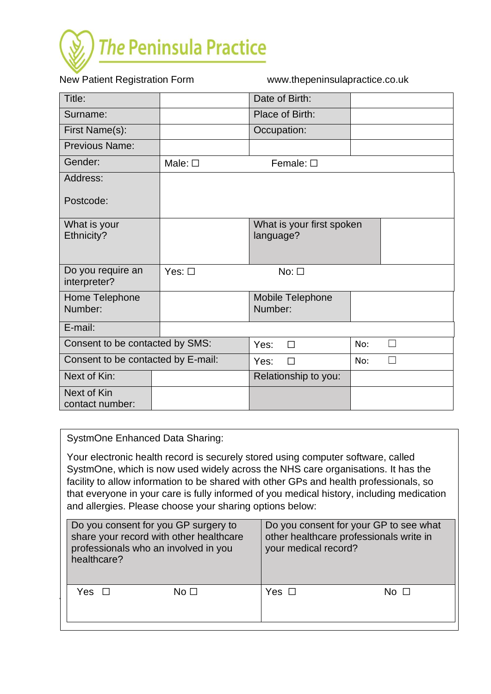

New Patient Registration Form www.thepeninsulapractice.co.uk

| Title:                             |                 | Date of Birth:                         |     |  |
|------------------------------------|-----------------|----------------------------------------|-----|--|
| Surname:                           |                 | Place of Birth:                        |     |  |
| First Name(s):                     |                 | Occupation:                            |     |  |
| Previous Name:                     |                 |                                        |     |  |
| Gender:                            | Male: $\square$ | Female: $\square$                      |     |  |
| Address:                           |                 |                                        |     |  |
| Postcode:                          |                 |                                        |     |  |
| What is your<br>Ethnicity?         |                 | What is your first spoken<br>language? |     |  |
|                                    |                 |                                        |     |  |
| Do you require an<br>interpreter?  | Yes: $\square$  | $No: \Box$                             |     |  |
| Home Telephone<br>Number:          |                 | Mobile Telephone<br>Number:            |     |  |
|                                    |                 |                                        |     |  |
| E-mail:                            |                 |                                        |     |  |
| Consent to be contacted by SMS:    |                 | Yes:<br>$\Box$                         | No: |  |
| Consent to be contacted by E-mail: |                 | Yes:<br>П                              | No: |  |
| Next of Kin:                       |                 | Relationship to you:                   |     |  |
| Next of Kin<br>contact number:     |                 |                                        |     |  |

SystmOne Enhanced Data Sharing:

Your electronic health record is securely stored using computer software, called SystmOne, which is now used widely across the NHS care organisations. It has the facility to allow information to be shared with other GPs and health professionals, so that everyone in your care is fully informed of you medical history, including medication and allergies. Please choose your sharing options below:

| Do you consent for you GP surgery to<br>share your record with other healthcare<br>professionals who an involved in you<br>healthcare? |            | Do you consent for your GP to see what<br>other healthcare professionals write in<br>your medical record? |            |              |
|----------------------------------------------------------------------------------------------------------------------------------------|------------|-----------------------------------------------------------------------------------------------------------|------------|--------------|
|                                                                                                                                        | Yes $\Box$ | No <sub>1</sub>                                                                                           | Yes $\Box$ | No $\square$ |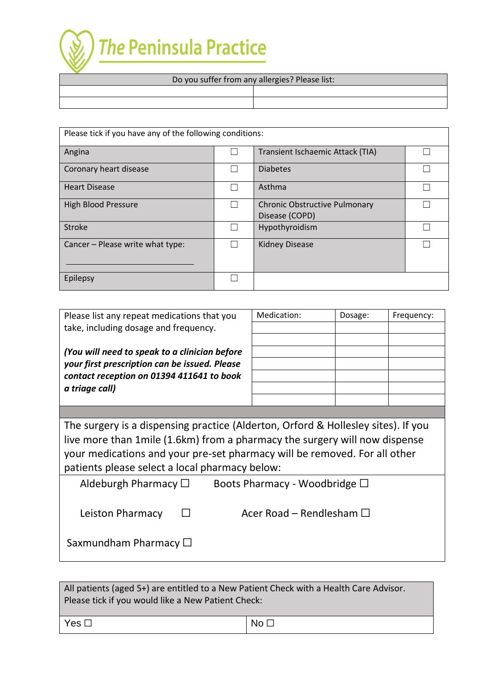

| Do you suffer from any allergies? Please list: |  |  |
|------------------------------------------------|--|--|
|                                                |  |  |
|                                                |  |  |

| Please tick if you have any of the following conditions: |  |                                                        |  |
|----------------------------------------------------------|--|--------------------------------------------------------|--|
| Angina                                                   |  | Transient Ischaemic Attack (TIA)                       |  |
| Coronary heart disease                                   |  | <b>Diabetes</b>                                        |  |
| <b>Heart Disease</b>                                     |  | Asthma                                                 |  |
| <b>High Blood Pressure</b>                               |  | <b>Chronic Obstructive Pulmonary</b><br>Disease (COPD) |  |
| <b>Stroke</b>                                            |  | Hypothyroidism                                         |  |
| Cancer - Please write what type:                         |  | <b>Kidney Disease</b>                                  |  |
| Epilepsy                                                 |  |                                                        |  |

| Please list any repeat medications that you                                       | Medication: | Dosage: | Frequency: |
|-----------------------------------------------------------------------------------|-------------|---------|------------|
| take, including dosage and frequency.                                             |             |         |            |
| (You will need to speak to a clinician before                                     |             |         |            |
| your first prescription can be issued. Please                                     |             |         |            |
| contact reception on 01394 411641 to book                                         |             |         |            |
| a triage call)                                                                    |             |         |            |
|                                                                                   |             |         |            |
|                                                                                   |             |         |            |
| The surgery is a dispensing practice (Alderton, Orford & Hollesley sites). If you |             |         |            |
| live more than 1 mile (1.6km) from a pharmacy the surgery will now dispense       |             |         |            |
| your medications and your pre-set pharmacy will be removed. For all other         |             |         |            |
| patients please select a local pharmacy below:                                    |             |         |            |
| Aldeburgh Pharmacy $\square$<br>Boots Pharmacy - Woodbridge □                     |             |         |            |
| Acer Road – Rendlesham $\Box$<br>Leiston Pharmacy                                 |             |         |            |

Saxmundham Pharmacy □

All patients (aged 5+) are entitled to a New Patient Check with a Health Care Advisor. Please tick if you would like a New Patient Check:

| $Yes \Box$ | $N$ o L |
|------------|---------|
|            |         |